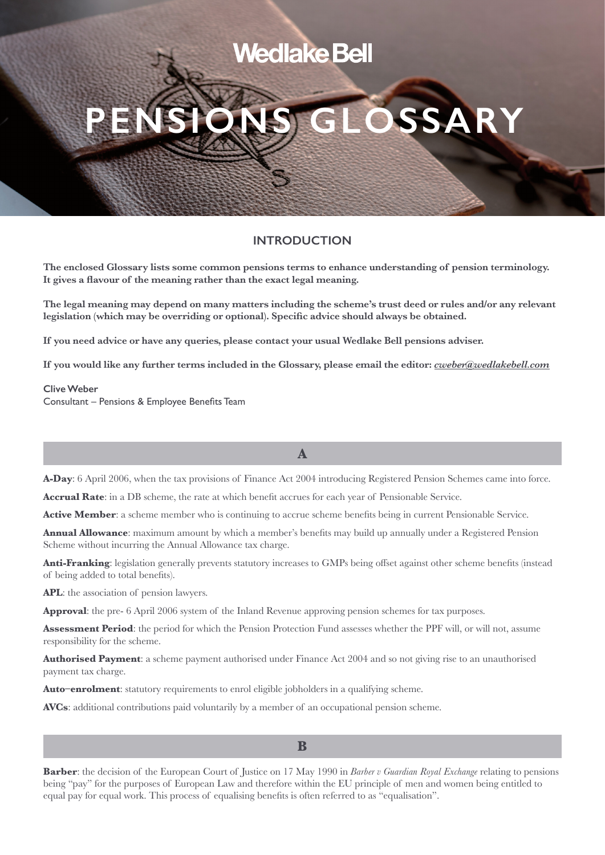# **Wedlake Bell**

# **PENSIONS GLOSSARY**

# **INTRODUCTION**

**The enclosed Glossary lists some common pensions terms to enhance understanding of pension terminology. It gives a flavour of the meaning rather than the exact legal meaning.** 

**The legal meaning may depend on many matters including the scheme's trust deed or rules and/or any relevant legislation (which may be overriding or optional). Specific advice should always be obtained.** 

**If you need advice or have any queries, please contact your usual Wedlake Bell pensions adviser.** 

**If you would like any further terms included in the Glossary, please email the editor:** *cweber@wedlakebell.com*

#### **Clive Weber**

Consultant – Pensions & Employee Benefits Team

**A-Day**: 6 April 2006, when the tax provisions of Finance Act 2004 introducing Registered Pension Schemes came into force.

**A**

**Accrual Rate**: in a DB scheme, the rate at which benefit accrues for each year of Pensionable Service.

**Active Member**: a scheme member who is continuing to accrue scheme benefits being in current Pensionable Service.

**Annual Allowance**: maximum amount by which a member's benefits may build up annually under a Registered Pension Scheme without incurring the Annual Allowance tax charge.

**Anti-Franking**: legislation generally prevents statutory increases to GMPs being offset against other scheme benefits (instead of being added to total benefits).

**APL**: the association of pension lawyers.

**Approval**: the pre- 6 April 2006 system of the Inland Revenue approving pension schemes for tax purposes.

**Assessment Period**: the period for which the Pension Protection Fund assesses whether the PPF will, or will not, assume responsibility for the scheme.

**Authorised Payment**: a scheme payment authorised under Finance Act 2004 and so not giving rise to an unauthorised payment tax charge.

**Auto–enrolment:** statutory requirements to enrol eligible jobholders in a qualifying scheme.

**AVCs**: additional contributions paid voluntarily by a member of an occupational pension scheme.

**Barber**: the decision of the European Court of Justice on 17 May 1990 in *Barber v Guardian Royal Exchange* relating to pensions being "pay" for the purposes of European Law and therefore within the EU principle of men and women being entitled to equal pay for equal work. This process of equalising benefits is often referred to as "equalisation".

#### **B**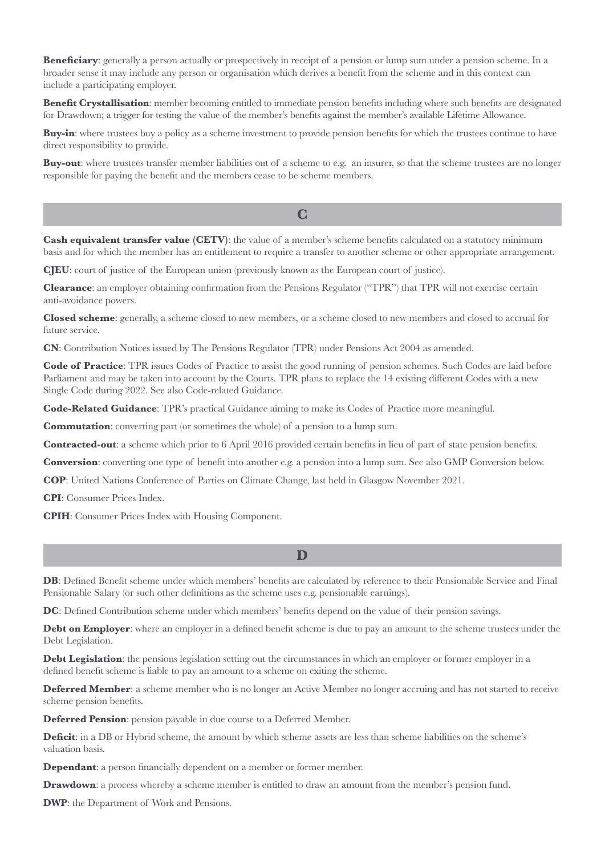**Beneficiary**: generally a person actually or prospectively in receipt of a pension or lump sum under a pension scheme. In a broader sense it may include any person or organisation which derives a benefit from the scheme and in this context can include a participating employer.

**Benefit Crystallisation**: member becoming entitled to immediate pension benefits including where such benefits are designated for Drawdown; a trigger for testing the value of the member's benefits against the member's available Lifetime Allowance.

**Buy-in**: where trustees buy a policy as a scheme investment to provide pension benefits for which the trustees continue to have direct responsibility to provide.

**Buy-out**: where trustees transfer member liabilities out of a scheme to e.g. an insurer, so that the scheme trustees are no longer responsible for paying the benefit and the members cease to be scheme members.

# **C**

**Cash equivalent transfer value (CETV)**: the value of a member's scheme benefits calculated on a statutory minimum basis and for which the member has an entitlement to require a transfer to another scheme or other appropriate arrangement.

**CJEU**: court of justice of the European union (previously known as the European court of justice).

**Clearance**: an employer obtaining confirmation from the Pensions Regulator ("TPR") that TPR will not exercise certain anti-avoidance powers.

**Closed scheme**: generally, a scheme closed to new members, or a scheme closed to new members and closed to accrual for future service.

**CN**: Contribution Notices issued by The Pensions Regulator (TPR) under Pensions Act 2004 as amended.

**Code of Practice**: TPR issues Codes of Practice to assist the good running of pension schemes. Such Codes are laid before Parliament and may be taken into account by the Courts. TPR plans to replace the 14 existing different Codes with a new Single Code during 2022. See also Code-related Guidance.

**Code-Related Guidance**: TPR's practical Guidance aiming to make its Codes of Practice more meaningful.

**Commutation**: converting part (or sometimes the whole) of a pension to a lump sum.

**Contracted-out**: a scheme which prior to 6 April 2016 provided certain benefits in lieu of part of state pension benefits.

**Conversion**: converting one type of benefit into another e.g. a pension into a lump sum. See also GMP Conversion below.

**COP**: United Nations Conference of Parties on Climate Change, last held in Glasgow November 2021.

**CPI**: Consumer Prices Index.

**CPIH**: Consumer Prices Index with Housing Component.

**D**

**DB**: Defined Benefit scheme under which members' benefits are calculated by reference to their Pensionable Service and Final Pensionable Salary (or such other definitions as the scheme uses e.g. pensionable earnings).

**DC**: Defined Contribution scheme under which members' benefits depend on the value of their pension savings.

**Debt on Employer:** where an employer in a defined benefit scheme is due to pay an amount to the scheme trustees under the Debt Legislation.

**Debt Legislation**: the pensions legislation setting out the circumstances in which an employer or former employer in a defined benefit scheme is liable to pay an amount to a scheme on exiting the scheme.

**Deferred Member**: a scheme member who is no longer an Active Member no longer accruing and has not started to receive scheme pension benefits.

**Deferred Pension**: pension payable in due course to a Deferred Member.

**Deficit**: in a DB or Hybrid scheme, the amount by which scheme assets are less than scheme liabilities on the scheme's valuation basis.

**Dependant:** a person financially dependent on a member or former member.

**Drawdown**: a process whereby a scheme member is entitled to draw an amount from the member's pension fund.

**DWP**: the Department of Work and Pensions.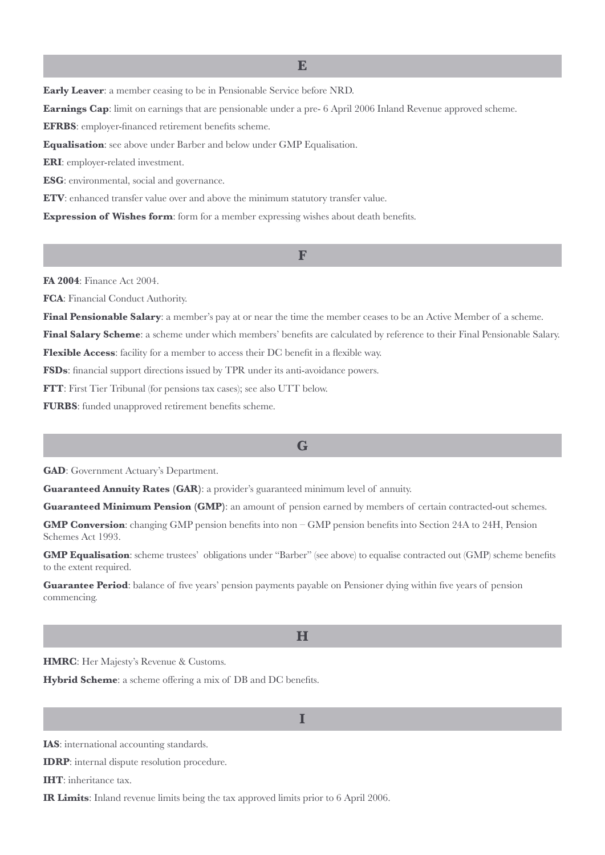**Early Leaver**: a member ceasing to be in Pensionable Service before NRD.

**Earnings Cap**: limit on earnings that are pensionable under a pre- 6 April 2006 Inland Revenue approved scheme.

**EFRBS**: employer-financed retirement benefits scheme.

**Equalisation**: see above under Barber and below under GMP Equalisation.

**ERI**: employer-related investment.

**ESG**: environmental, social and governance.

**ETV**: enhanced transfer value over and above the minimum statutory transfer value.

**Expression of Wishes form**: form for a member expressing wishes about death benefits.

**FA 2004**: Finance Act 2004.

**FCA**: Financial Conduct Authority.

**Final Pensionable Salary**: a member's pay at or near the time the member ceases to be an Active Member of a scheme.

**Final Salary Scheme**: a scheme under which members' benefits are calculated by reference to their Final Pensionable Salary.

**F**

**Flexible Access**: facility for a member to access their DC benefit in a flexible way.

**FSDs**: financial support directions issued by TPR under its anti-avoidance powers.

**FTT**: First Tier Tribunal (for pensions tax cases); see also UTT below.

**FURBS**: funded unapproved retirement benefits scheme.

#### **G**

**GAD**: Government Actuary's Department.

**Guaranteed Annuity Rates (GAR)**: a provider's guaranteed minimum level of annuity.

**Guaranteed Minimum Pension (GMP)**: an amount of pension earned by members of certain contracted-out schemes.

**GMP Conversion**: changing GMP pension benefits into non – GMP pension benefits into Section 24A to 24H, Pension Schemes Act 1993.

**GMP Equalisation**: scheme trustees' obligations under "Barber" (see above) to equalise contracted out (GMP) scheme benefits to the extent required.

**Guarantee Period**: balance of five years' pension payments payable on Pensioner dying within five years of pension commencing.

#### **H**

**HMRC**: Her Majesty's Revenue & Customs.

**Hybrid Scheme**: a scheme offering a mix of DB and DC benefits.

**I**

**IAS**: international accounting standards.

**IDRP**: internal dispute resolution procedure.

**IHT**: inheritance tax.

**IR Limits**: Inland revenue limits being the tax approved limits prior to 6 April 2006.

**E**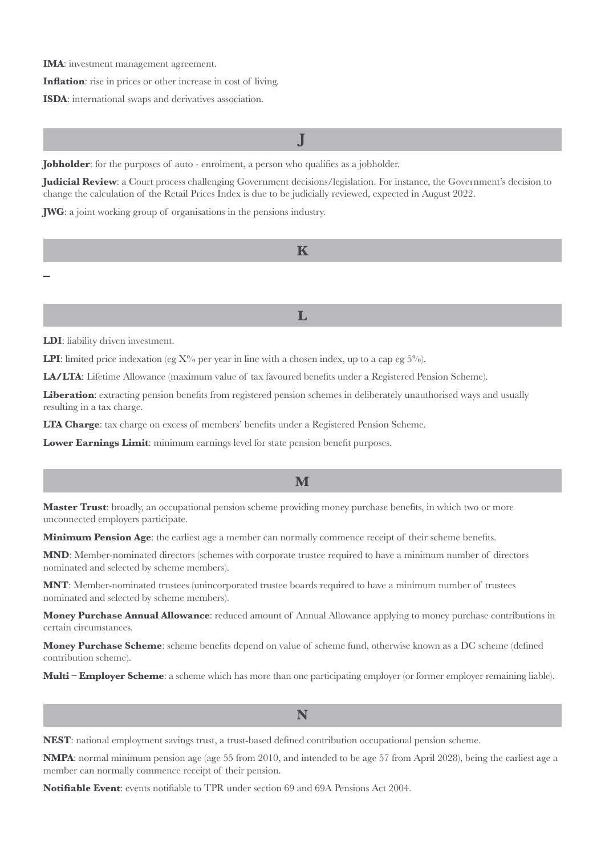**IMA**: investment management agreement.

**Inflation**: rise in prices or other increase in cost of living.

**ISDA**: international swaps and derivatives association.

**J**

**Jobholder**: for the purposes of auto - enrolment, a person who qualifies as a jobholder.

**Judicial Review**: a Court process challenging Government decisions/legislation. For instance, the Government's decision to change the calculation of the Retail Prices Index is due to be judicially reviewed, expected in August 2022.

**JWG**: a joint working group of organisations in the pensions industry.

**K**

**L** 

**LDI**: liability driven investment.

**–**

**LPI:** limited price indexation (eg  $X\%$ ) per year in line with a chosen index, up to a cap eg  $5\%$ ).

**LA/LTA**: Lifetime Allowance (maximum value of tax favoured benefits under a Registered Pension Scheme).

Liberation: extracting pension benefits from registered pension schemes in deliberately unauthorised ways and usually resulting in a tax charge.

**LTA Charge**: tax charge on excess of members' benefits under a Registered Pension Scheme.

**Lower Earnings Limit**: minimum earnings level for state pension benefit purposes.

#### **M**

**Master Trust**: broadly, an occupational pension scheme providing money purchase benefits, in which two or more unconnected employers participate.

**Minimum Pension Age:** the earliest age a member can normally commence receipt of their scheme benefits.

**MND**: Member-nominated directors (schemes with corporate trustee required to have a minimum number of directors nominated and selected by scheme members).

**MNT**: Member-nominated trustees (unincorporated trustee boards required to have a minimum number of trustees nominated and selected by scheme members).

**Money Purchase Annual Allowance**: reduced amount of Annual Allowance applying to money purchase contributions in certain circumstances.

**Money Purchase Scheme**: scheme benefits depend on value of scheme fund, otherwise known as a DC scheme (defined contribution scheme).

**Multi – Employer Scheme**: a scheme which has more than one participating employer (or former employer remaining liable).

**N**

**NEST**: national employment savings trust, a trust-based defined contribution occupational pension scheme.

**NMPA**: normal minimum pension age (age 55 from 2010, and intended to be age 57 from April 2028), being the earliest age a member can normally commence receipt of their pension.

**Notifiable Event**: events notifiable to TPR under section 69 and 69A Pensions Act 2004.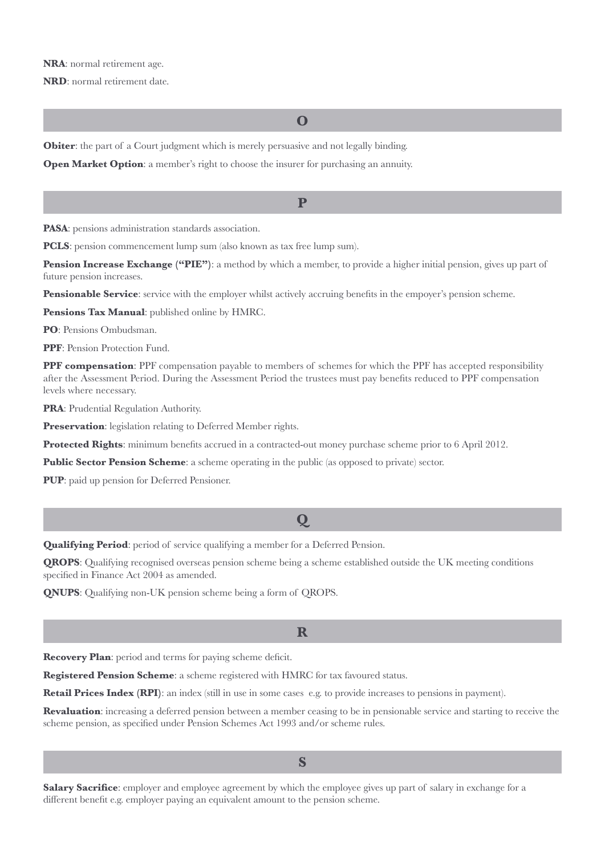#### **NRA**: normal retirement age.

**NRD**: normal retirement date.

**O**

**Obiter:** the part of a Court judgment which is merely persuasive and not legally binding.

**Open Market Option:** a member's right to choose the insurer for purchasing an annuity.

**P**

**PASA**: pensions administration standards association.

**PCLS**: pension commencement lump sum (also known as tax free lump sum).

**Pension Increase Exchange ("PIE")**: a method by which a member, to provide a higher initial pension, gives up part of future pension increases.

**Pensionable Service**: service with the employer whilst actively accruing benefits in the empoyer's pension scheme.

**Pensions Tax Manual**: published online by HMRC.

**PO**: Pensions Ombudsman.

**PPF**: Pension Protection Fund.

**PPF compensation**: PPF compensation payable to members of schemes for which the PPF has accepted responsibility after the Assessment Period. During the Assessment Period the trustees must pay benefits reduced to PPF compensation levels where necessary.

**PRA**: Prudential Regulation Authority.

**Preservation**: legislation relating to Deferred Member rights.

**Protected Rights**: minimum benefits accrued in a contracted-out money purchase scheme prior to 6 April 2012.

**Public Sector Pension Scheme**: a scheme operating in the public (as opposed to private) sector.

**PUP**: paid up pension for Deferred Pensioner.

# **Q**

**Qualifying Period**: period of service qualifying a member for a Deferred Pension.

**QROPS**: Qualifying recognised overseas pension scheme being a scheme established outside the UK meeting conditions specified in Finance Act 2004 as amended.

**QNUPS**: Qualifying non-UK pension scheme being a form of QROPS.

# **R**

**Recovery Plan**: period and terms for paying scheme deficit.

**Registered Pension Scheme**: a scheme registered with HMRC for tax favoured status.

Retail Prices Index (RPI): an index (still in use in some cases e.g. to provide increases to pensions in payment).

**Revaluation:** increasing a deferred pension between a member ceasing to be in pensionable service and starting to receive the scheme pension, as specified under Pension Schemes Act 1993 and/or scheme rules.

**S**

**Salary Sacrifice**: employer and employee agreement by which the employee gives up part of salary in exchange for a different benefit e.g. employer paying an equivalent amount to the pension scheme.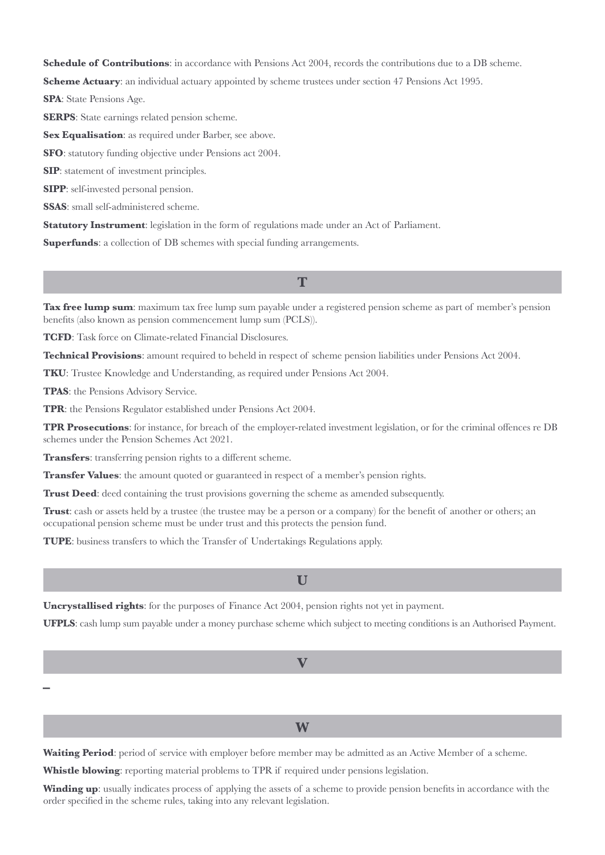**Schedule of Contributions**: in accordance with Pensions Act 2004, records the contributions due to a DB scheme.

**Scheme Actuary**: an individual actuary appointed by scheme trustees under section 47 Pensions Act 1995.

**SPA**: State Pensions Age.

**SERPS**: State earnings related pension scheme.

**Sex Equalisation:** as required under Barber, see above.

**SFO**: statutory funding objective under Pensions act 2004.

**SIP**: statement of investment principles.

**SIPP**: self-invested personal pension.

**SSAS**: small self-administered scheme.

**Statutory Instrument**: legislation in the form of regulations made under an Act of Parliament.

**Superfunds:** a collection of DB schemes with special funding arrangements.

**T**

**Tax free lump sum**: maximum tax free lump sum payable under a registered pension scheme as part of member's pension benefits (also known as pension commencement lump sum (PCLS)).

**TCFD**: Task force on Climate-related Financial Disclosures.

**Technical Provisions**: amount required to beheld in respect of scheme pension liabilities under Pensions Act 2004.

**TKU**: Trustee Knowledge and Understanding, as required under Pensions Act 2004.

**TPAS**: the Pensions Advisory Service.

**TPR**: the Pensions Regulator established under Pensions Act 2004.

**TPR Prosecutions**: for instance, for breach of the employer-related investment legislation, or for the criminal offences re DB schemes under the Pension Schemes Act 2021.

**Transfers**: transferring pension rights to a different scheme.

**Transfer Values**: the amount quoted or guaranteed in respect of a member's pension rights.

**Trust Deed:** deed containing the trust provisions governing the scheme as amended subsequently.

**Trust**: cash or assets held by a trustee (the trustee may be a person or a company) for the benefit of another or others; an occupational pension scheme must be under trust and this protects the pension fund.

**TUPE**: business transfers to which the Transfer of Undertakings Regulations apply.

**Uncrystallised rights**: for the purposes of Finance Act 2004, pension rights not yet in payment.

**UFPLS**: cash lump sum payable under a money purchase scheme which subject to meeting conditions is an Authorised Payment.

**V**

**W**

**–**

**Waiting Period**: period of service with employer before member may be admitted as an Active Member of a scheme.

**Whistle blowing**: reporting material problems to TPR if required under pensions legislation.

**Winding up**: usually indicates process of applying the assets of a scheme to provide pension benefits in accordance with the order specified in the scheme rules, taking into any relevant legislation.

# **U**